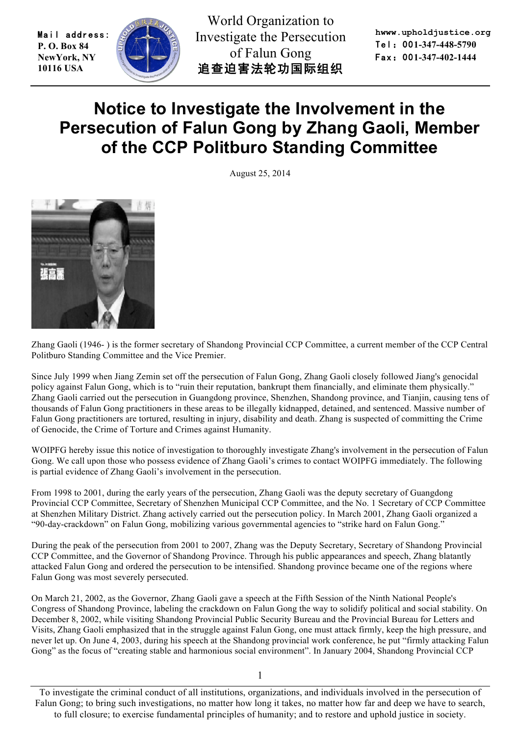Mail address: **P. O. Box 84 NewYork, NY 10116 USA** 



World Organization to Investigate the Persecution of Falun Gong 追查迫害法轮功国际组织

**hwww.upholdjustice.org** Tel:00**1-347-448-5790** Fax:00**1-347-402-1444**

## **Notice to Investigate the Involvement in the Persecution of Falun Gong by Zhang Gaoli, Member of the CCP Politburo Standing Committee**

August 25, 2014



Zhang Gaoli (1946- ) is the former secretary of Shandong Provincial CCP Committee, a current member of the CCP Central Politburo Standing Committee and the Vice Premier.

Since July 1999 when Jiang Zemin set off the persecution of Falun Gong, Zhang Gaoli closely followed Jiang's genocidal policy against Falun Gong, which is to "ruin their reputation, bankrupt them financially, and eliminate them physically." Zhang Gaoli carried out the persecution in Guangdong province, Shenzhen, Shandong province, and Tianjin, causing tens of thousands of Falun Gong practitioners in these areas to be illegally kidnapped, detained, and sentenced. Massive number of Falun Gong practitioners are tortured, resulting in injury, disability and death. Zhang is suspected of committing the Crime of Genocide, the Crime of Torture and Crimes against Humanity.

WOIPFG hereby issue this notice of investigation to thoroughly investigate Zhang's involvement in the persecution of Falun Gong. We call upon those who possess evidence of Zhang Gaoli's crimes to contact WOIPFG immediately. The following is partial evidence of Zhang Gaoli's involvement in the persecution.

From 1998 to 2001, during the early years of the persecution, Zhang Gaoli was the deputy secretary of Guangdong Provincial CCP Committee, Secretary of Shenzhen Municipal CCP Committee, and the No. 1 Secretary of CCP Committee at Shenzhen Military District. Zhang actively carried out the persecution policy. In March 2001, Zhang Gaoli organized a "90-day-crackdown" on Falun Gong, mobilizing various governmental agencies to "strike hard on Falun Gong."

During the peak of the persecution from 2001 to 2007, Zhang was the Deputy Secretary, Secretary of Shandong Provincial CCP Committee, and the Governor of Shandong Province. Through his public appearances and speech, Zhang blatantly attacked Falun Gong and ordered the persecution to be intensified. Shandong province became one of the regions where Falun Gong was most severely persecuted.

On March 21, 2002, as the Governor, Zhang Gaoli gave a speech at the Fifth Session of the Ninth National People's Congress of Shandong Province, labeling the crackdown on Falun Gong the way to solidify political and social stability. On December 8, 2002, while visiting Shandong Provincial Public Security Bureau and the Provincial Bureau for Letters and Visits, Zhang Gaoli emphasized that in the struggle against Falun Gong, one must attack firmly, keep the high pressure, and never let up. On June 4, 2003, during his speech at the Shandong provincial work conference, he put "firmly attacking Falun Gong" as the focus of "creating stable and harmonious social environment". In January 2004, Shandong Provincial CCP

1

To investigate the criminal conduct of all institutions, organizations, and individuals involved in the persecution of Falun Gong; to bring such investigations, no matter how long it takes, no matter how far and deep we have to search, to full closure; to exercise fundamental principles of humanity; and to restore and uphold justice in society.